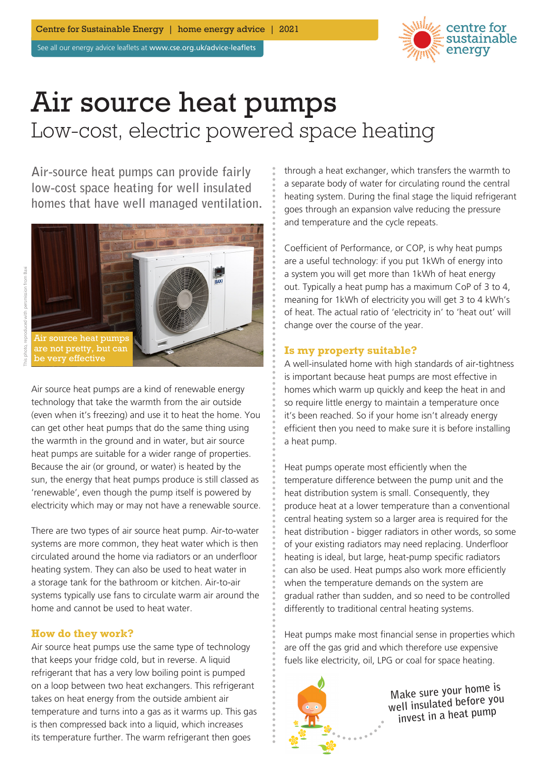See all our energy advice leaflets at www.cse.org.uk/advice-leaflets



# Air source heat pumps Low-cost, electric powered space heating

**Air-source heat pumps can provide fairly low-cost space heating for well insulated homes that have well managed ventilation.**





Air source heat pumps are a kind of renewable energy technology that take the warmth from the air outside (even when it's freezing) and use it to heat the home. You can get other heat pumps that do the same thing using the warmth in the ground and in water, but air source heat pumps are suitable for a wider range of properties. Because the air (or ground, or water) is heated by the sun, the energy that heat pumps produce is still classed as 'renewable', even though the pump itself is powered by electricity which may or may not have a renewable source.

There are two types of air source heat pump. Air-to-water systems are more common, they heat water which is then circulated around the home via radiators or an underfloor heating system. They can also be used to heat water in a storage tank for the bathroom or kitchen. Air-to-air systems typically use fans to circulate warm air around the home and cannot be used to heat water.

## **How do they work?**

Air source heat pumps use the same type of technology that keeps your fridge cold, but in reverse. A liquid refrigerant that has a very low boiling point is pumped on a loop between two heat exchangers. This refrigerant takes on heat energy from the outside ambient air temperature and turns into a gas as it warms up. This gas is then compressed back into a liquid, which increases its temperature further. The warm refrigerant then goes

through a heat exchanger, which transfers the warmth to a separate body of water for circulating round the central heating system. During the final stage the liquid refrigerant goes through an expansion valve reducing the pressure and temperature and the cycle repeats.

Coefficient of Performance, or COP, is why heat pumps are a useful technology: if you put 1kWh of energy into a system you will get more than 1kWh of heat energy out. Typically a heat pump has a maximum CoP of 3 to 4, meaning for 1kWh of electricity you will get 3 to 4 kWh's of heat. The actual ratio of 'electricity in' to 'heat out' will change over the course of the year.

### **Is my property suitable?**

A well-insulated home with high standards of air-tightness is important because heat pumps are most effective in homes which warm up quickly and keep the heat in and so require little energy to maintain a temperature once it's been reached. So if your home isn't already energy efficient then you need to make sure it is before installing a heat pump.

Heat pumps operate most efficiently when the temperature difference between the pump unit and the heat distribution system is small. Consequently, they produce heat at a lower temperature than a conventional central heating system so a larger area is required for the heat distribution - bigger radiators in other words, so some of your existing radiators may need replacing. Underfloor heating is ideal, but large, heat-pump specific radiators can also be used. Heat pumps also work more efficiently when the temperature demands on the system are gradual rather than sudden, and so need to be controlled differently to traditional central heating systems.

Heat pumps make most financial sense in properties which are off the gas grid and which therefore use expensive fuels like electricity, oil, LPG or coal for space heating.



**Make sure your home is well insulated before you invest in a heat pump**